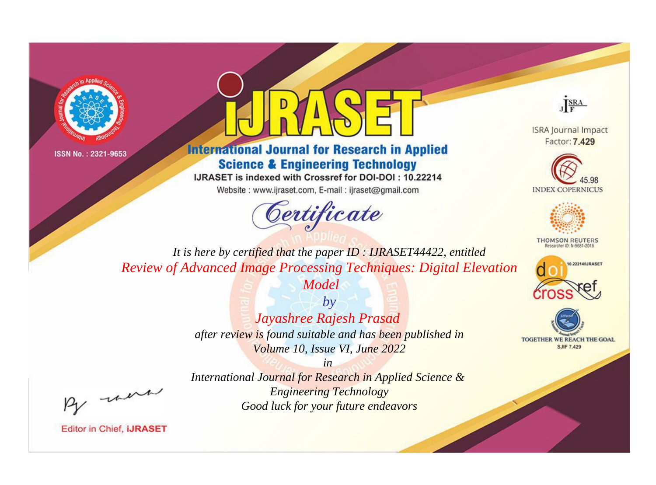



**International Journal for Research in Applied Science & Engineering Technology** 

IJRASET is indexed with Crossref for DOI-DOI: 10.22214

Website: www.ijraset.com, E-mail: ijraset@gmail.com





**ISRA Journal Impact** Factor: 7.429





**THOMSON REUTERS** 



TOGETHER WE REACH THE GOAL **SJIF 7.429** 

*It is here by certified that the paper ID : IJRASET44422, entitled Review of Advanced Image Processing Techniques: Digital Elevation* 

*Model*

*by Jayashree Rajesh Prasad after review is found suitable and has been published in Volume 10, Issue VI, June 2022*

*in* 

*International Journal for Research in Applied Science & Engineering Technology Good luck for your future endeavors*

, were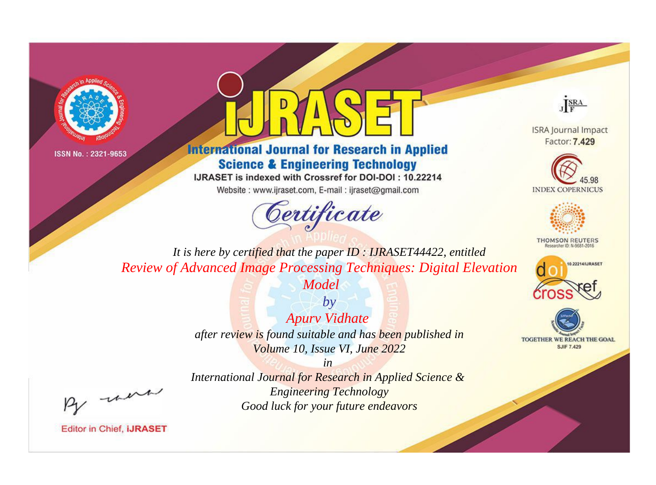



**International Journal for Research in Applied Science & Engineering Technology** 

IJRASET is indexed with Crossref for DOI-DOI: 10.22214

Website: www.ijraset.com, E-mail: ijraset@gmail.com



JERA

**ISRA Journal Impact** Factor: 7.429





**THOMSON REUTERS** 



TOGETHER WE REACH THE GOAL **SJIF 7.429** 

It is here by certified that the paper ID: IJRASET44422, entitled **Review of Advanced Image Processing Techniques: Digital Elevation** 

Model

 $b\nu$ **Apury Vidhate** after review is found suitable and has been published in Volume 10, Issue VI, June 2022

 $in$ International Journal for Research in Applied Science & **Engineering Technology** Good luck for your future endeavors

were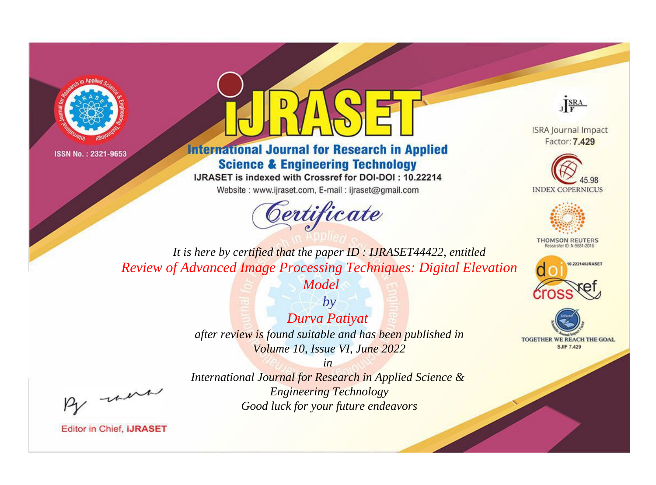



## **International Journal for Research in Applied Science & Engineering Technology**

IJRASET is indexed with Crossref for DOI-DOI: 10.22214

Website: www.ijraset.com, E-mail: ijraset@gmail.com



JERA

**ISRA Journal Impact** Factor: 7.429





**THOMSON REUTERS** 



TOGETHER WE REACH THE GOAL **SJIF 7.429** 

It is here by certified that the paper ID: IJRASET44422, entitled **Review of Advanced Image Processing Techniques: Digital Elevation** 

Model

 $b\nu$ Durva Patiyat after review is found suitable and has been published in Volume 10, Issue VI, June 2022

were

International Journal for Research in Applied Science & **Engineering Technology** Good luck for your future endeavors

 $in$